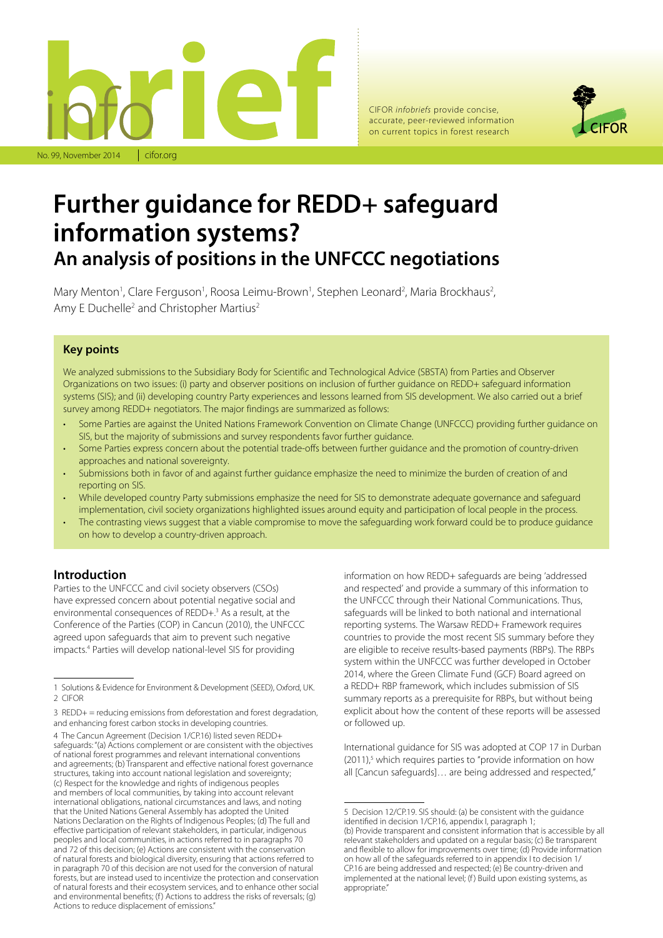

CIFOR *infobriefs* provide concise, accurate, peer-reviewed information on current topics in forest research



# **Further guidance for REDD+ safeguard information systems? An analysis of positions in the UNFCCC negotiations**

Mary Menton<sup>1</sup>, Clare Ferguson<sup>1</sup>, Roosa Leimu-Brown<sup>1</sup>, Stephen Leonard<sup>2</sup>, Maria Brockhaus<sup>2</sup>, Amy E Duchelle<sup>2</sup> and Christopher Martius<sup>2</sup>

# **Key points**

We analyzed submissions to the Subsidiary Body for Scientific and Technological Advice (SBSTA) from Parties and Observer Organizations on two issues: (i) party and observer positions on inclusion of further guidance on REDD+ safeguard information systems (SIS); and (ii) developing country Party experiences and lessons learned from SIS development. We also carried out a brief survey among REDD+ negotiators. The major findings are summarized as follows:

- Some Parties are against the United Nations Framework Convention on Climate Change (UNFCCC) providing further guidance on SIS, but the majority of submissions and survey respondents favor further guidance.
- Some Parties express concern about the potential trade-offs between further guidance and the promotion of country-driven approaches and national sovereignty.
- Submissions both in favor of and against further guidance emphasize the need to minimize the burden of creation of and reporting on SIS.
- While developed country Party submissions emphasize the need for SIS to demonstrate adequate governance and safeguard implementation, civil society organizations highlighted issues around equity and participation of local people in the process.
- The contrasting views suggest that a viable compromise to move the safeguarding work forward could be to produce guidance on how to develop a country-driven approach.

# **Introduction**

Parties to the UNFCCC and civil society observers (CSOs) have expressed concern about potential negative social and environmental consequences of REDD+.3 As a result, at the Conference of the Parties (COP) in Cancun (2010), the UNFCCC agreed upon safeguards that aim to prevent such negative impacts.4 Parties will develop national-level SIS for providing

information on how REDD+ safeguards are being 'addressed and respected' and provide a summary of this information to the UNFCCC through their National Communications. Thus, safeguards will be linked to both national and international reporting systems. The Warsaw REDD+ Framework requires countries to provide the most recent SIS summary before they are eligible to receive results-based payments (RBPs). The RBPs system within the UNFCCC was further developed in October 2014, where the Green Climate Fund (GCF) Board agreed on a REDD+ RBP framework, which includes submission of SIS summary reports as a prerequisite for RBPs, but without being explicit about how the content of these reports will be assessed or followed up.

International guidance for SIS was adopted at COP 17 in Durban  $(2011)<sup>5</sup>$  which requires parties to "provide information on how all [Cancun safeguards]… are being addressed and respected,"

<sup>1</sup> Solutions & Evidence for Environment & Development (SEED), Oxford, UK. 2 CIFOR

<sup>3</sup> REDD+ = reducing emissions from deforestation and forest degradation, and enhancing forest carbon stocks in developing countries.

<sup>4</sup> The Cancun Agreement (Decision 1/CP.16) listed seven REDD+ safeguards: "(a) Actions complement or are consistent with the objectives of national forest programmes and relevant international conventions and agreements; (b) Transparent and effective national forest governance structures, taking into account national legislation and sovereignty; (c) Respect for the knowledge and rights of indigenous peoples and members of local communities, by taking into account relevant international obligations, national circumstances and laws, and noting that the United Nations General Assembly has adopted the United Nations Declaration on the Rights of Indigenous Peoples; (d) The full and effective participation of relevant stakeholders, in particular, indigenous peoples and local communities, in actions referred to in paragraphs 70 and 72 of this decision; (e) Actions are consistent with the conservation of natural forests and biological diversity, ensuring that actions referred to in paragraph 70 of this decision are not used for the conversion of natural forests, but are instead used to incentivize the protection and conservation of natural forests and their ecosystem services, and to enhance other social and environmental benefits; (f) Actions to address the risks of reversals; (g) Actions to reduce displacement of emissions."

<sup>5</sup> Decision 12/CP.19. SIS should: (a) be consistent with the guidance identified in decision 1/CP.16, appendix I, paragraph 1; (b) Provide transparent and consistent information that is accessible by all relevant stakeholders and updated on a regular basis; (c) Be transparent and flexible to allow for improvements over time; (d) Provide information on how all of the safeguards referred to in appendix I to decision 1/ CP.16 are being addressed and respected; (e) Be country-driven and implemented at the national level; (f) Build upon existing systems, as appropriate."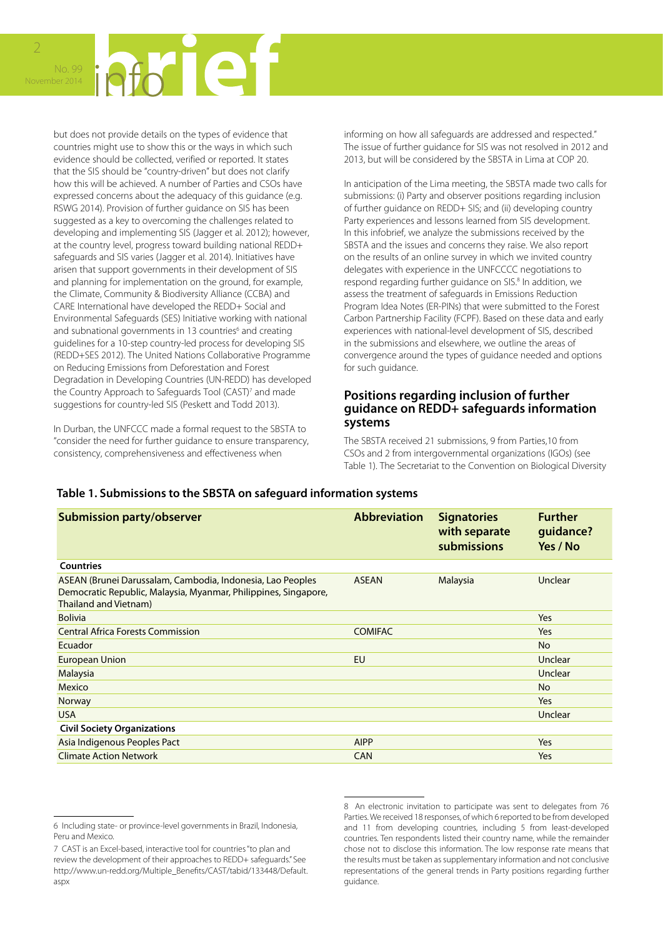

but does not provide details on the types of evidence that countries might use to show this or the ways in which such evidence should be collected, verified or reported. It states that the SIS should be "country-driven" but does not clarify how this will be achieved. A number of Parties and CSOs have expressed concerns about the adequacy of this guidance (e.g. RSWG 2014). Provision of further guidance on SIS has been suggested as a key to overcoming the challenges related to developing and implementing SIS (Jagger et al. 2012); however, at the country level, progress toward building national REDD+ safeguards and SIS varies (Jagger et al. 2014). Initiatives have arisen that support governments in their development of SIS and planning for implementation on the ground, for example, the Climate, Community & Biodiversity Alliance (CCBA) and CARE International have developed the REDD+ Social and Environmental Safeguards (SES) Initiative working with national and subnational governments in 13 countries<sup>6</sup> and creating guidelines for a 10-step country-led process for developing SIS (REDD+SES 2012). The United Nations Collaborative Programme on Reducing Emissions from Deforestation and Forest Degradation in Developing Countries (UN-REDD) has developed the Country Approach to Safeguards Tool (CAST)<sup>7</sup> and made suggestions for country-led SIS (Peskett and Todd 2013).

In Durban, the UNFCCC made a formal request to the SBSTA to "consider the need for further guidance to ensure transparency, consistency, comprehensiveness and effectiveness when

informing on how all safeguards are addressed and respected." The issue of further guidance for SIS was not resolved in 2012 and 2013, but will be considered by the SBSTA in Lima at COP 20.

In anticipation of the Lima meeting, the SBSTA made two calls for submissions: (i) Party and observer positions regarding inclusion of further guidance on REDD+ SIS; and (ii) developing country Party experiences and lessons learned from SIS development. In this infobrief, we analyze the submissions received by the SBSTA and the issues and concerns they raise. We also report on the results of an online survey in which we invited country delegates with experience in the UNFCCCC negotiations to respond regarding further guidance on SIS.<sup>8</sup> In addition, we assess the treatment of safeguards in Emissions Reduction Program Idea Notes (ER-PINs) that were submitted to the Forest Carbon Partnership Facility (FCPF). Based on these data and early experiences with national-level development of SIS, described in the submissions and elsewhere, we outline the areas of convergence around the types of guidance needed and options for such guidance.

# **Positions regarding inclusion of further guidance on REDD+ safeguards information systems**

The SBSTA received 21 submissions, 9 from Parties,10 from CSOs and 2 from intergovernmental organizations (IGOs) (see Table 1). The Secretariat to the Convention on Biological Diversity

#### **Table 1. Submissions to the SBSTA on safeguard information systems**

| <b>Submission party/observer</b>                                                                                                                       | <b>Abbreviation</b> | <b>Signatories</b><br>with separate<br>submissions | <b>Further</b><br>guidance?<br>Yes / No |
|--------------------------------------------------------------------------------------------------------------------------------------------------------|---------------------|----------------------------------------------------|-----------------------------------------|
| <b>Countries</b>                                                                                                                                       |                     |                                                    |                                         |
| ASEAN (Brunei Darussalam, Cambodia, Indonesia, Lao Peoples<br>Democratic Republic, Malaysia, Myanmar, Philippines, Singapore,<br>Thailand and Vietnam) | <b>ASEAN</b>        | Malaysia                                           | Unclear                                 |
| <b>Bolivia</b>                                                                                                                                         |                     |                                                    | Yes                                     |
| <b>Central Africa Forests Commission</b>                                                                                                               | <b>COMIFAC</b>      |                                                    | Yes                                     |
| Ecuador                                                                                                                                                |                     |                                                    | <b>No</b>                               |
| <b>European Union</b>                                                                                                                                  | <b>EU</b>           |                                                    | Unclear                                 |
| Malaysia                                                                                                                                               |                     |                                                    | Unclear                                 |
| Mexico                                                                                                                                                 |                     |                                                    | <b>No</b>                               |
| Norway                                                                                                                                                 |                     |                                                    | Yes                                     |
| <b>USA</b>                                                                                                                                             |                     |                                                    | Unclear                                 |
| <b>Civil Society Organizations</b>                                                                                                                     |                     |                                                    |                                         |
| Asia Indigenous Peoples Pact                                                                                                                           | <b>AIPP</b>         |                                                    | Yes                                     |
| <b>Climate Action Network</b>                                                                                                                          | <b>CAN</b>          |                                                    | Yes                                     |

<sup>6</sup> Including state- or province-level governments in Brazil, Indonesia, Peru and Mexico.

<sup>7</sup> CAST is an Excel-based, interactive tool for countries "to plan and review the development of their approaches to REDD+ safeguards." See http://www.un-redd.org/Multiple\_Benefits/CAST/tabid/133448/Default. aspx

<sup>8</sup> An electronic invitation to participate was sent to delegates from 76 Parties. We received 18 responses, of which 6 reported to be from developed and 11 from developing countries, including 5 from least-developed countries. Ten respondents listed their country name, while the remainder chose not to disclose this information. The low response rate means that the results must be taken as supplementary information and not conclusive representations of the general trends in Party positions regarding further guidance.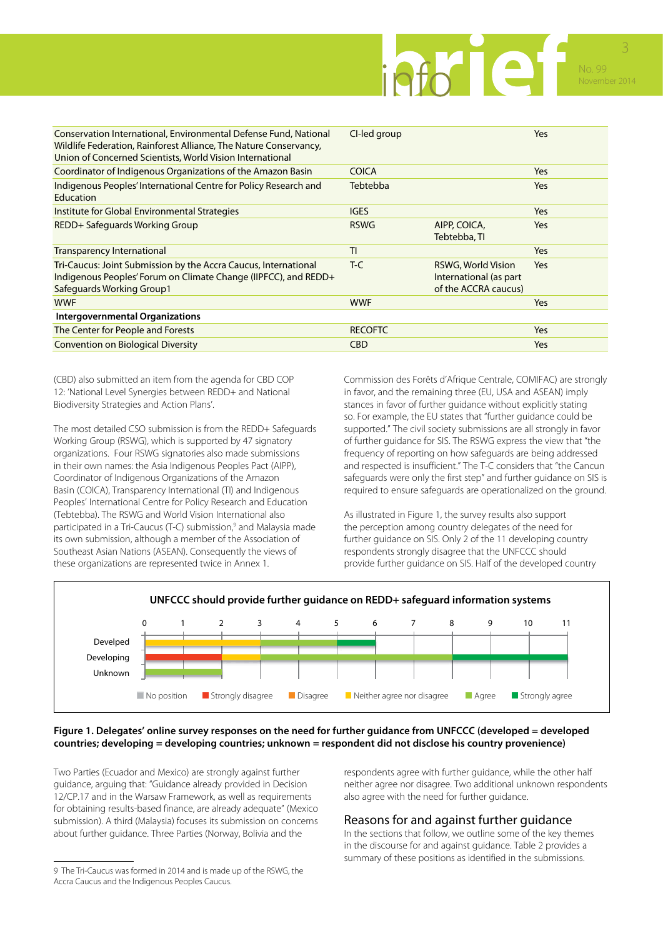

| Conservation International, Environmental Defense Fund, National<br>Wildlife Federation, Rainforest Alliance, The Nature Conservancy,<br>Union of Concerned Scientists, World Vision International | CI-led group    |                                                                      | <b>Yes</b> |
|----------------------------------------------------------------------------------------------------------------------------------------------------------------------------------------------------|-----------------|----------------------------------------------------------------------|------------|
| Coordinator of Indigenous Organizations of the Amazon Basin                                                                                                                                        | <b>COICA</b>    |                                                                      | <b>Yes</b> |
| Indigenous Peoples' International Centre for Policy Research and<br>Education                                                                                                                      | <b>Tebtebba</b> |                                                                      | Yes        |
| Institute for Global Environmental Strategies                                                                                                                                                      | <b>IGES</b>     |                                                                      | <b>Yes</b> |
| REDD+ Safeguards Working Group                                                                                                                                                                     | <b>RSWG</b>     | AIPP, COICA,<br>Tebtebba, TI                                         | Yes        |
| <b>Transparency International</b>                                                                                                                                                                  | TI              |                                                                      | Yes        |
| Tri-Caucus: Joint Submission by the Accra Caucus, International<br>Indigenous Peoples' Forum on Climate Change (IIPFCC), and REDD+<br>Safeguards Working Group1                                    | $T-C$           | RSWG, World Vision<br>International (as part<br>of the ACCRA caucus) | <b>Yes</b> |
| <b>WWF</b>                                                                                                                                                                                         | <b>WWF</b>      |                                                                      | Yes        |
| Intergovernmental Organizations                                                                                                                                                                    |                 |                                                                      |            |
| The Center for People and Forests                                                                                                                                                                  | <b>RECOFTC</b>  |                                                                      | Yes        |
| <b>Convention on Biological Diversity</b>                                                                                                                                                          | <b>CBD</b>      |                                                                      | Yes        |
|                                                                                                                                                                                                    |                 |                                                                      |            |

(CBD) also submitted an item from the agenda for CBD COP 12: 'National Level Synergies between REDD+ and National Biodiversity Strategies and Action Plans'.

The most detailed CSO submission is from the REDD+ Safeguards Working Group (RSWG), which is supported by 47 signatory organizations. Four RSWG signatories also made submissions in their own names: the Asia Indigenous Peoples Pact (AIPP), Coordinator of Indigenous Organizations of the Amazon Basin (COICA), Transparency International (TI) and Indigenous Peoples' International Centre for Policy Research and Education (Tebtebba). The RSWG and World Vision International also participated in a Tri-Caucus (T-C) submission,<sup>9</sup> and Malaysia made its own submission, although a member of the Association of Southeast Asian Nations (ASEAN). Consequently the views of these organizations are represented twice in Annex 1.

Commission des Forêts d'Afrique Centrale, COMIFAC) are strongly in favor, and the remaining three (EU, USA and ASEAN) imply stances in favor of further guidance without explicitly stating so. For example, the EU states that "further guidance could be supported." The civil society submissions are all strongly in favor of further guidance for SIS. The RSWG express the view that "the frequency of reporting on how safeguards are being addressed and respected is insufficient." The T-C considers that "the Cancun safeguards were only the first step" and further guidance on SIS is required to ensure safeguards are operationalized on the ground.

As illustrated in Figure 1, the survey results also support the perception among country delegates of the need for further guidance on SIS. Only 2 of the 11 developing country respondents strongly disagree that the UNFCCC should provide further guidance on SIS. Half of the developed country



#### **Figure 1. Delegates' online survey responses on the need for further guidance from UNFCCC (developed = developed countries; developing = developing countries; unknown = respondent did not disclose his country provenience)**

Two Parties (Ecuador and Mexico) are strongly against further guidance, arguing that: "Guidance already provided in Decision 12/CP.17 and in the Warsaw Framework, as well as requirements for obtaining results-based finance, are already adequate" (Mexico submission). A third (Malaysia) focuses its submission on concerns about further guidance. Three Parties (Norway, Bolivia and the

respondents agree with further guidance, while the other half neither agree nor disagree. Two additional unknown respondents also agree with the need for further guidance.

# Reasons for and against further guidance

In the sections that follow, we outline some of the key themes in the discourse for and against guidance. Table 2 provides a summary of these positions as identified in the submissions.

<sup>9</sup> The Tri-Caucus was formed in 2014 and is made up of the RSWG, the Accra Caucus and the Indigenous Peoples Caucus.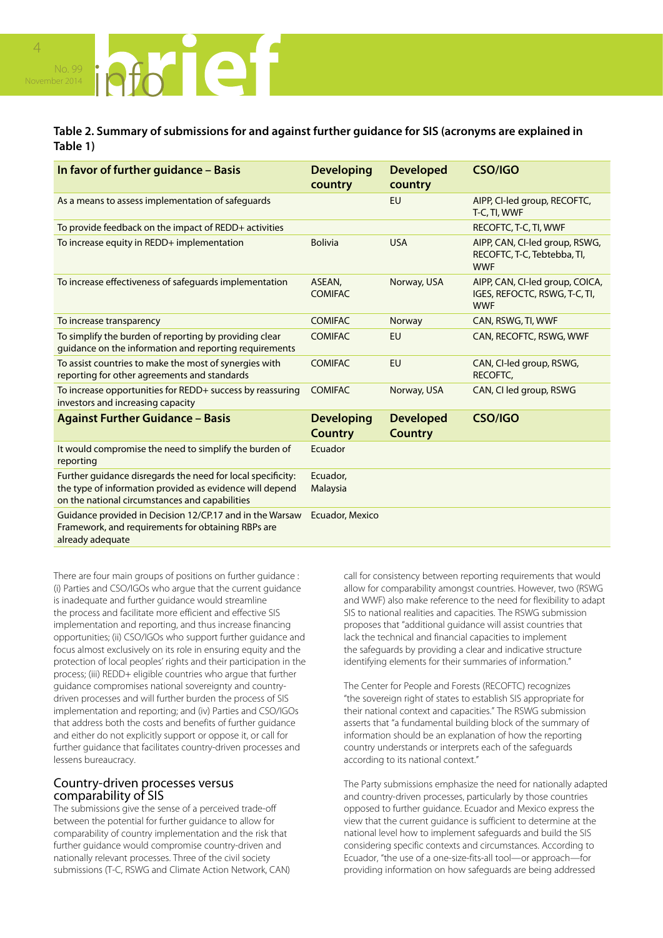

# **Table 2. Summary of submissions for and against further guidance for SIS (acronyms are explained in Table 1)**

| In favor of further guidance - Basis                                                                                                                                      | <b>Developing</b><br>country        | <b>Developed</b><br>country        | <b>CSO/IGO</b>                                                                 |
|---------------------------------------------------------------------------------------------------------------------------------------------------------------------------|-------------------------------------|------------------------------------|--------------------------------------------------------------------------------|
| As a means to assess implementation of safeguards                                                                                                                         |                                     | <b>EU</b>                          | AIPP, CI-led group, RECOFTC,<br>T-C, TI, WWF                                   |
| To provide feedback on the impact of REDD+ activities                                                                                                                     |                                     |                                    | RECOFTC, T-C, TI, WWF                                                          |
| To increase equity in REDD+ implementation                                                                                                                                | <b>Bolivia</b>                      | <b>USA</b>                         | AIPP, CAN, CI-led group, RSWG,<br>RECOFTC, T-C, Tebtebba, TI,<br><b>WWF</b>    |
| To increase effectiveness of safeguards implementation                                                                                                                    | ASEAN,<br><b>COMIFAC</b>            | Norway, USA                        | AIPP, CAN, CI-led group, COICA,<br>IGES, REFOCTC, RSWG, T-C, TI,<br><b>WWF</b> |
| To increase transparency                                                                                                                                                  | <b>COMIFAC</b>                      | Norway                             | CAN, RSWG, TI, WWF                                                             |
| To simplify the burden of reporting by providing clear<br>guidance on the information and reporting requirements                                                          | <b>COMIFAC</b>                      | <b>EU</b>                          | CAN, RECOFTC, RSWG, WWF                                                        |
| To assist countries to make the most of synergies with<br>reporting for other agreements and standards                                                                    | <b>COMIFAC</b>                      | <b>EU</b>                          | CAN, CI-led group, RSWG,<br>RECOFTC.                                           |
| To increase opportunities for REDD+ success by reassuring<br>investors and increasing capacity                                                                            | <b>COMIFAC</b>                      | Norway, USA                        | CAN, CI led group, RSWG                                                        |
| <b>Against Further Guidance - Basis</b>                                                                                                                                   | <b>Developing</b><br><b>Country</b> | <b>Developed</b><br><b>Country</b> | <b>CSO/IGO</b>                                                                 |
| It would compromise the need to simplify the burden of<br>reporting                                                                                                       | Ecuador                             |                                    |                                                                                |
| Further guidance disregards the need for local specificity:<br>the type of information provided as evidence will depend<br>on the national circumstances and capabilities | Ecuador.<br>Malaysia                |                                    |                                                                                |
| Guidance provided in Decision 12/CP.17 and in the Warsaw<br>Framework, and requirements for obtaining RBPs are<br>already adequate                                        | Ecuador, Mexico                     |                                    |                                                                                |

There are four main groups of positions on further guidance : (i) Parties and CSO/IGOs who argue that the current guidance is inadequate and further guidance would streamline the process and facilitate more efficient and effective SIS implementation and reporting, and thus increase financing opportunities; (ii) CSO/IGOs who support further guidance and focus almost exclusively on its role in ensuring equity and the protection of local peoples' rights and their participation in the process; (iii) REDD+ eligible countries who argue that further guidance compromises national sovereignty and countrydriven processes and will further burden the process of SIS implementation and reporting; and (iv) Parties and CSO/IGOs that address both the costs and benefits of further guidance and either do not explicitly support or oppose it, or call for further guidance that facilitates country-driven processes and lessens bureaucracy.

# Country-driven processes versus comparability of SIS

The submissions give the sense of a perceived trade-off between the potential for further guidance to allow for comparability of country implementation and the risk that further guidance would compromise country-driven and nationally relevant processes. Three of the civil society submissions (T-C, RSWG and Climate Action Network, CAN) call for consistency between reporting requirements that would allow for comparability amongst countries. However, two (RSWG and WWF) also make reference to the need for flexibility to adapt SIS to national realities and capacities. The RSWG submission proposes that "additional guidance will assist countries that lack the technical and financial capacities to implement the safeguards by providing a clear and indicative structure identifying elements for their summaries of information."

The Center for People and Forests (RECOFTC) recognizes "the sovereign right of states to establish SIS appropriate for their national context and capacities." The RSWG submission asserts that "a fundamental building block of the summary of information should be an explanation of how the reporting country understands or interprets each of the safeguards according to its national context."

The Party submissions emphasize the need for nationally adapted and country-driven processes, particularly by those countries opposed to further guidance. Ecuador and Mexico express the view that the current guidance is sufficient to determine at the national level how to implement safeguards and build the SIS considering specific contexts and circumstances. According to Ecuador, "the use of a one-size-fits-all tool—or approach—for providing information on how safeguards are being addressed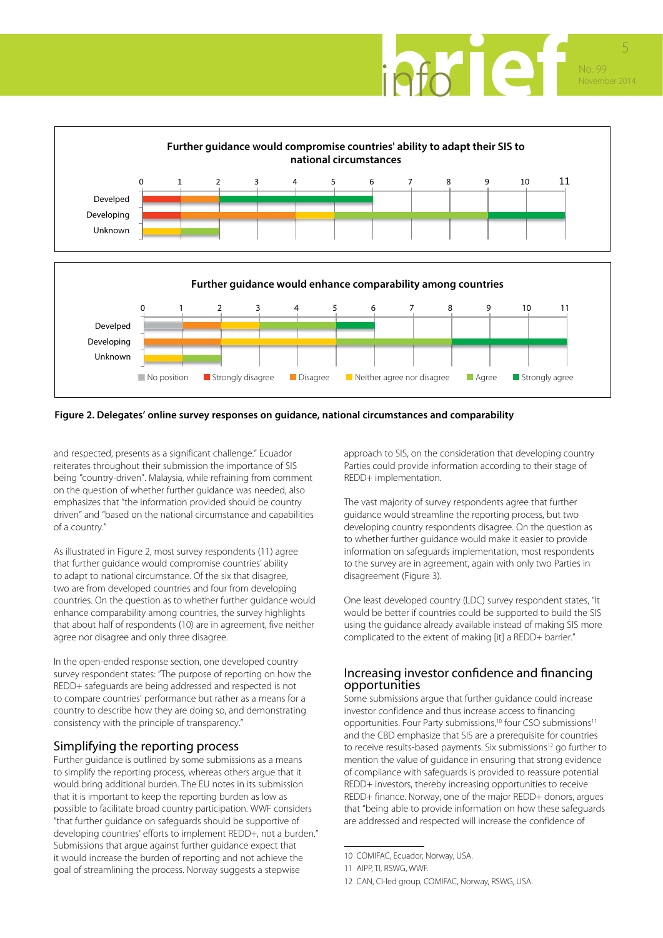



#### **Figure 2. Delegates' online survey responses on guidance, national circumstances and comparability**

and respected, presents as a significant challenge." Ecuador reiterates throughout their submission the importance of SIS being "country-driven". Malaysia, while refraining from comment on the question of whether further guidance was needed, also emphasizes that "the information provided should be country driven" and "based on the national circumstance and capabilities of a country."

As illustrated in Figure 2, most survey respondents (11) agree that further guidance would compromise countries' ability to adapt to national circumstance. Of the six that disagree, two are from developed countries and four from developing countries. On the question as to whether further guidance would enhance comparability among countries, the survey highlights that about half of respondents (10) are in agreement, five neither agree nor disagree and only three disagree.

In the open-ended response section, one developed country survey respondent states: "The purpose of reporting on how the REDD+ safeguards are being addressed and respected is not to compare countries' performance but rather as a means for a country to describe how they are doing so, and demonstrating consistency with the principle of transparency."

# Simplifying the reporting process

Further guidance is outlined by some submissions as a means to simplify the reporting process, whereas others argue that it would bring additional burden. The EU notes in its submission that it is important to keep the reporting burden as low as possible to facilitate broad country participation. WWF considers "that further guidance on safeguards should be supportive of developing countries' efforts to implement REDD+, not a burden." Submissions that argue against further guidance expect that it would increase the burden of reporting and not achieve the goal of streamlining the process. Norway suggests a stepwise

approach to SIS, on the consideration that developing country Parties could provide information according to their stage of REDD+ implementation.

The vast majority of survey respondents agree that further guidance would streamline the reporting process, but two developing country respondents disagree. On the question as to whether further guidance would make it easier to provide information on safeguards implementation, most respondents to the survey are in agreement, again with only two Parties in disagreement (Figure 3).

One least developed country (LDC) survey respondent states, "It would be better if countries could be supported to build the SIS using the guidance already available instead of making SIS more complicated to the extent of making [it] a REDD+ barrier."

# Increasing investor confidence and financing opportunities

Some submissions argue that further guidance could increase investor confidence and thus increase access to financing opportunities. Four Party submissions,<sup>10</sup> four CSO submissions<sup>11</sup> and the CBD emphasize that SIS are a prerequisite for countries to receive results-based payments. Six submissions<sup>12</sup> go further to mention the value of guidance in ensuring that strong evidence of compliance with safeguards is provided to reassure potential REDD+ investors, thereby increasing opportunities to receive REDD+ finance. Norway, one of the major REDD+ donors, argues that "being able to provide information on how these safeguards are addressed and respected will increase the confidence of

<sup>10</sup> COMIFAC, Ecuador, Norway, USA.

<sup>11</sup> AIPP, TI, RSWG, WWF.

<sup>12</sup> CAN, CI-led group, COMIFAC, Norway, RSWG, USA.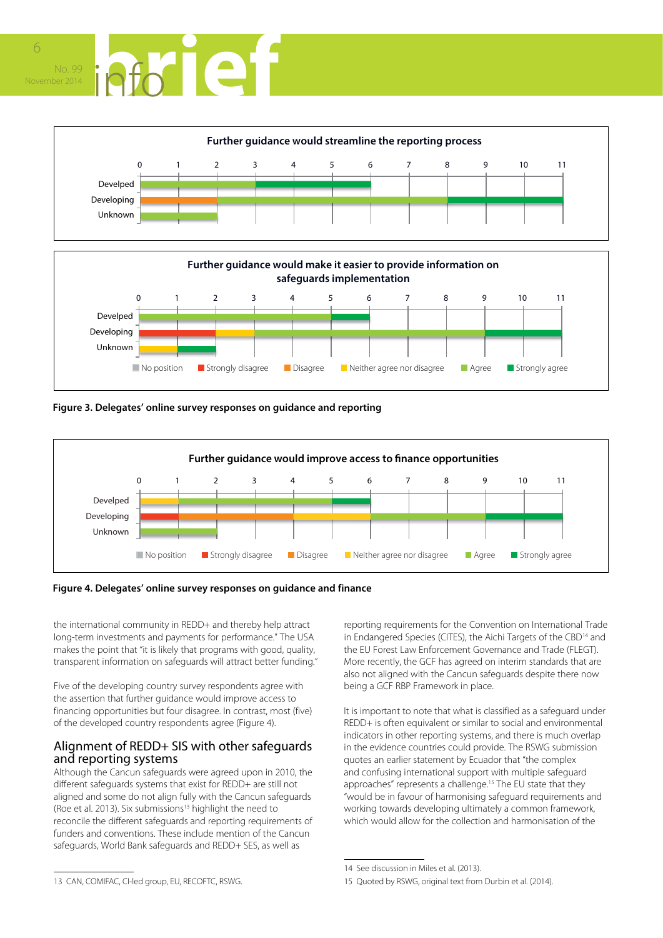









**Figure 4. Delegates' online survey responses on guidance and finance**

the international community in REDD+ and thereby help attract long‐term investments and payments for performance." The USA makes the point that "it is likely that programs with good, quality, transparent information on safeguards will attract better funding."

Five of the developing country survey respondents agree with the assertion that further guidance would improve access to financing opportunities but four disagree. In contrast, most (five) of the developed country respondents agree (Figure 4).

# Alignment of REDD+ SIS with other safeguards and reporting systems

Although the Cancun safeguards were agreed upon in 2010, the different safeguards systems that exist for REDD+ are still not aligned and some do not align fully with the Cancun safeguards (Roe et al. 2013). Six submissions<sup>13</sup> highlight the need to reconcile the different safeguards and reporting requirements of funders and conventions. These include mention of the Cancun safeguards, World Bank safeguards and REDD+ SES, as well as

reporting requirements for the Convention on International Trade in Endangered Species (CITES), the Aichi Targets of the CBD<sup>14</sup> and the EU Forest Law Enforcement Governance and Trade (FLEGT). More recently, the GCF has agreed on interim standards that are also not aligned with the Cancun safeguards despite there now being a GCF RBP Framework in place.

It is important to note that what is classified as a safeguard under REDD+ is often equivalent or similar to social and environmental indicators in other reporting systems, and there is much overlap in the evidence countries could provide. The RSWG submission quotes an earlier statement by Ecuador that "the complex and confusing international support with multiple safeguard approaches" represents a challenge.<sup>15</sup> The EU state that they "would be in favour of harmonising safeguard requirements and working towards developing ultimately a common framework, which would allow for the collection and harmonisation of the

<sup>14</sup> See discussion in Miles et al. (2013).

<sup>15</sup> Quoted by RSWG, original text from Durbin et al. (2014).

<sup>13</sup> CAN, COMIFAC, CI-led group, EU, RECOFTC, RSWG.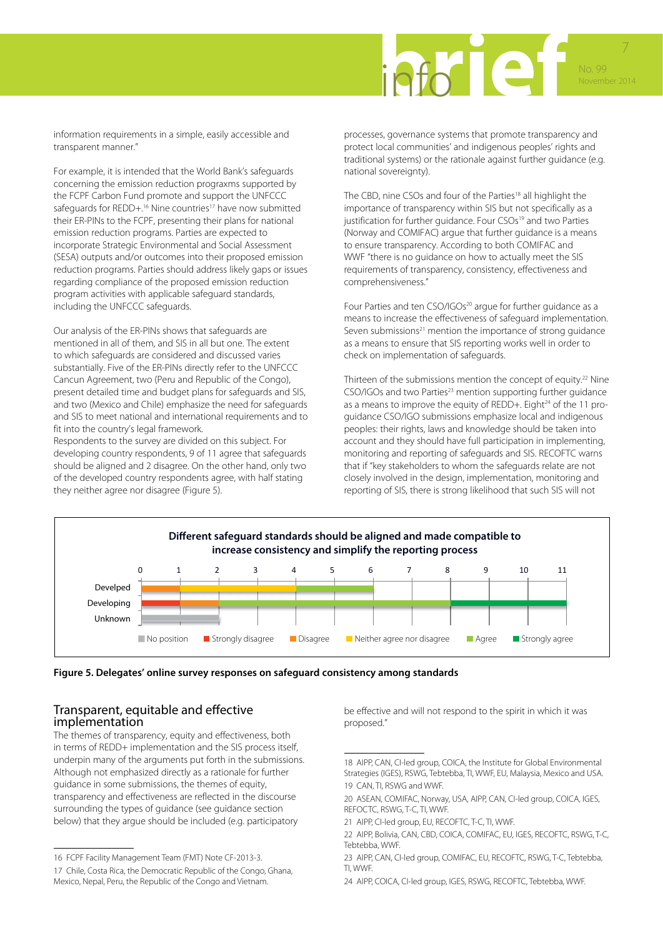

information requirements in a simple, easily accessible and transparent manner."

For example, it is intended that the World Bank's safeguards concerning the emission reduction prograxms supported by the FCPF Carbon Fund promote and support the UNFCCC safequards for REDD+.<sup>16</sup> Nine countries<sup>17</sup> have now submitted their ER-PINs to the FCPF, presenting their plans for national emission reduction programs. Parties are expected to incorporate Strategic Environmental and Social Assessment (SESA) outputs and/or outcomes into their proposed emission reduction programs. Parties should address likely gaps or issues regarding compliance of the proposed emission reduction program activities with applicable safeguard standards, including the UNFCCC safeguards.

Our analysis of the ER-PINs shows that safeguards are mentioned in all of them, and SIS in all but one. The extent to which safeguards are considered and discussed varies substantially. Five of the ER-PINs directly refer to the UNFCCC Cancun Agreement, two (Peru and Republic of the Congo), present detailed time and budget plans for safeguards and SIS, and two (Mexico and Chile) emphasize the need for safeguards and SIS to meet national and international requirements and to fit into the country's legal framework.

Respondents to the survey are divided on this subject. For developing country respondents, 9 of 11 agree that safeguards should be aligned and 2 disagree. On the other hand, only two of the developed country respondents agree, with half stating they neither agree nor disagree (Figure 5).

processes, governance systems that promote transparency and protect local communities' and indigenous peoples' rights and traditional systems) or the rationale against further guidance (e.g. national sovereignty).

The CBD, nine CSOs and four of the Parties<sup>18</sup> all highlight the importance of transparency within SIS but not specifically as a justification for further guidance. Four CSOs<sup>19</sup> and two Parties (Norway and COMIFAC) argue that further guidance is a means to ensure transparency. According to both COMIFAC and WWF "there is no guidance on how to actually meet the SIS requirements of transparency, consistency, effectiveness and comprehensiveness."

Four Parties and ten CSO/IGOs<sup>20</sup> argue for further guidance as a means to increase the effectiveness of safeguard implementation. Seven submissions<sup>21</sup> mention the importance of strong guidance as a means to ensure that SIS reporting works well in order to check on implementation of safeguards.

Thirteen of the submissions mention the concept of equity.<sup>22</sup> Nine CSO/IGOs and two Parties<sup>23</sup> mention supporting further guidance as a means to improve the equity of REDD+. Eight<sup>24</sup> of the 11 proguidance CSO/IGO submissions emphasize local and indigenous peoples: their rights, laws and knowledge should be taken into account and they should have full participation in implementing, monitoring and reporting of safeguards and SIS. RECOFTC warns that if "key stakeholders to whom the safeguards relate are not closely involved in the design, implementation, monitoring and reporting of SIS, there is strong likelihood that such SIS will not





# Transparent, equitable and effective implementation

The themes of transparency, equity and effectiveness, both in terms of REDD+ implementation and the SIS process itself, underpin many of the arguments put forth in the submissions. Although not emphasized directly as a rationale for further guidance in some submissions, the themes of equity, transparency and effectiveness are reflected in the discourse surrounding the types of guidance (see guidance section below) that they argue should be included (e.g. participatory

be effective and will not respond to the spirit in which it was proposed."

<sup>16</sup> FCPF Facility Management Team (FMT) Note CF-2013-3.

<sup>17</sup> Chile, Costa Rica, the Democratic Republic of the Congo, Ghana, Mexico, Nepal, Peru, the Republic of the Congo and Vietnam.

<sup>18</sup> AIPP, CAN, CI-led group, COICA, the Institute for Global Environmental Strategies (IGES), RSWG, Tebtebba, TI, WWF, EU, Malaysia, Mexico and USA. 19 CAN, TI, RSWG and WWF.

<sup>20</sup> ASEAN, COMIFAC, Norway, USA, AIPP, CAN, CI-led group, COICA, IGES, REFOCTC, RSWG, T-C, TI, WWF.

<sup>21</sup> AIPP, CI-led group, EU, RECOFTC, T-C, TI, WWF.

<sup>22</sup> AIPP, Bolivia, CAN, CBD, COICA, COMIFAC, EU, IGES, RECOFTC, RSWG, T-C, Tebtebba, WWF.

<sup>23</sup> AIPP, CAN, CI-led group, COMIFAC, EU, RECOFTC, RSWG, T-C, Tebtebba, TI, WWF.

<sup>24</sup> AIPP, COICA, CI-led group, IGES, RSWG, RECOFTC, Tebtebba, WWF.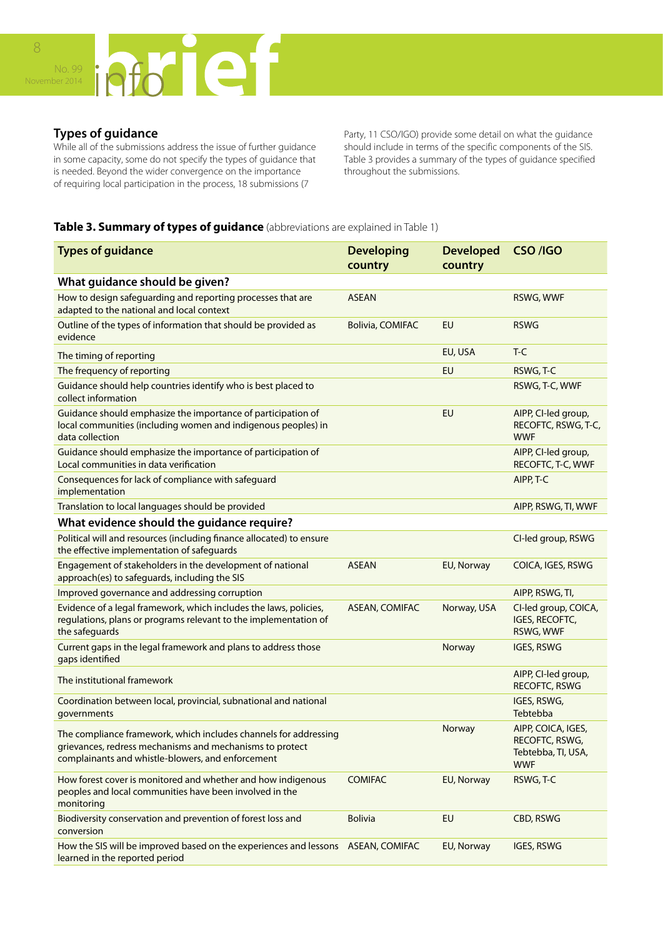

# **Types of guidance**

While all of the submissions address the issue of further guidance in some capacity, some do not specify the types of guidance that is needed. Beyond the wider convergence on the importance of requiring local participation in the process, 18 submissions (7

Party, 11 CSO/IGO) provide some detail on what the guidance should include in terms of the specific components of the SIS. Table 3 provides a summary of the types of guidance specified throughout the submissions.

# **Table 3. Summary of types of guidance** (abbreviations are explained in Table 1)

| <b>Types of guidance</b>                                                                                                                                                          | <b>Developing</b><br>country | <b>Developed</b><br>country | CSO /IGO                                                                 |
|-----------------------------------------------------------------------------------------------------------------------------------------------------------------------------------|------------------------------|-----------------------------|--------------------------------------------------------------------------|
| What guidance should be given?                                                                                                                                                    |                              |                             |                                                                          |
| How to design safeguarding and reporting processes that are<br>adapted to the national and local context                                                                          | <b>ASEAN</b>                 |                             | RSWG, WWF                                                                |
| Outline of the types of information that should be provided as<br>evidence                                                                                                        | <b>Bolivia, COMIFAC</b>      | EU                          | <b>RSWG</b>                                                              |
| The timing of reporting                                                                                                                                                           |                              | EU, USA                     | $T-C$                                                                    |
| The frequency of reporting                                                                                                                                                        |                              | EU                          | RSWG, T-C                                                                |
| Guidance should help countries identify who is best placed to<br>collect information                                                                                              |                              |                             | RSWG, T-C, WWF                                                           |
| Guidance should emphasize the importance of participation of<br>local communities (including women and indigenous peoples) in<br>data collection                                  |                              | EU                          | AIPP, CI-led group,<br>RECOFTC, RSWG, T-C,<br><b>WWF</b>                 |
| Guidance should emphasize the importance of participation of<br>Local communities in data verification                                                                            |                              |                             | AIPP, CI-led group,<br>RECOFTC, T-C, WWF                                 |
| Consequences for lack of compliance with safeguard<br>implementation                                                                                                              |                              |                             | AIPP, T-C                                                                |
| Translation to local languages should be provided                                                                                                                                 |                              |                             | AIPP, RSWG, TI, WWF                                                      |
| What evidence should the guidance require?                                                                                                                                        |                              |                             |                                                                          |
| Political will and resources (including finance allocated) to ensure<br>the effective implementation of safeguards                                                                |                              |                             | CI-led group, RSWG                                                       |
| Engagement of stakeholders in the development of national<br>approach(es) to safeguards, including the SIS                                                                        | <b>ASEAN</b>                 | EU, Norway                  | COICA, IGES, RSWG                                                        |
| Improved governance and addressing corruption                                                                                                                                     |                              |                             | AIPP, RSWG, TI,                                                          |
| Evidence of a legal framework, which includes the laws, policies,<br>regulations, plans or programs relevant to the implementation of<br>the safeguards                           | <b>ASEAN, COMIFAC</b>        | Norway, USA                 | CI-led group, COICA,<br>IGES, RECOFTC,<br>RSWG, WWF                      |
| Current gaps in the legal framework and plans to address those<br>gaps identified                                                                                                 |                              | Norway                      | <b>IGES, RSWG</b>                                                        |
| The institutional framework                                                                                                                                                       |                              |                             | AIPP, CI-led group,<br>RECOFTC, RSWG                                     |
| Coordination between local, provincial, subnational and national<br>governments                                                                                                   |                              |                             | IGES, RSWG,<br>Tebtebba                                                  |
| The compliance framework, which includes channels for addressing<br>grievances, redress mechanisms and mechanisms to protect<br>complainants and whistle-blowers, and enforcement |                              | Norway                      | AIPP, COICA, IGES,<br>RECOFTC, RSWG,<br>Tebtebba, TI, USA,<br><b>WWF</b> |
| How forest cover is monitored and whether and how indigenous<br>peoples and local communities have been involved in the<br>monitoring                                             | <b>COMIFAC</b>               | EU, Norway                  | RSWG, T-C                                                                |
| Biodiversity conservation and prevention of forest loss and<br>conversion                                                                                                         | <b>Bolivia</b>               | EU                          | CBD, RSWG                                                                |
| How the SIS will be improved based on the experiences and lessons ASEAN, COMIFAC<br>learned in the reported period                                                                |                              | EU, Norway                  | IGES, RSWG                                                               |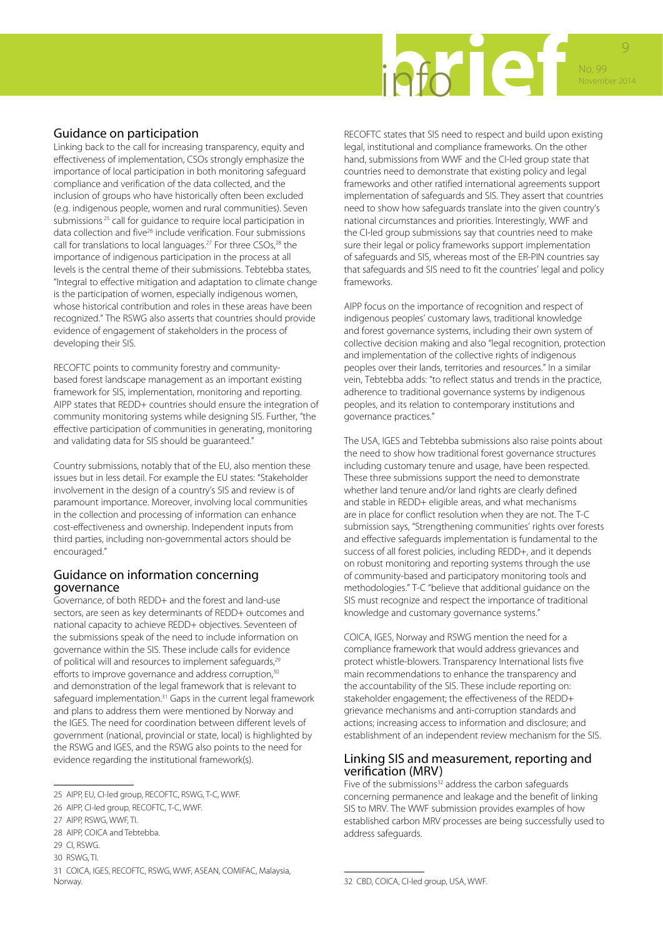

# Guidance on participation

Linking back to the call for increasing transparency, equity and effectiveness of implementation, CSOs strongly emphasize the importance of local participation in both monitoring safeguard compliance and verification of the data collected, and the inclusion of groups who have historically often been excluded (e.g. indigenous people, women and rural communities). Seven submissions<sup>25</sup> call for guidance to require local participation in data collection and five<sup>26</sup> include verification. Four submissions call for translations to local languages.<sup>27</sup> For three CSOs,<sup>28</sup> the importance of indigenous participation in the process at all levels is the central theme of their submissions. Tebtebba states, "Integral to effective mitigation and adaptation to climate change is the participation of women, especially indigenous women, whose historical contribution and roles in these areas have been recognized." The RSWG also asserts that countries should provide evidence of engagement of stakeholders in the process of developing their SIS.

RECOFTC points to community forestry and communitybased forest landscape management as an important existing framework for SIS, implementation, monitoring and reporting. AIPP states that REDD+ countries should ensure the integration of community monitoring systems while designing SIS. Further, "the effective participation of communities in generating, monitoring and validating data for SIS should be guaranteed."

Country submissions, notably that of the EU, also mention these issues but in less detail. For example the EU states: "Stakeholder involvement in the design of a country's SIS and review is of paramount importance. Moreover, involving local communities in the collection and processing of information can enhance cost-effectiveness and ownership. Independent inputs from third parties, including non-governmental actors should be encouraged."

# Guidance on information concerning governance

Governance, of both REDD+ and the forest and land-use sectors, are seen as key determinants of REDD+ outcomes and national capacity to achieve REDD+ objectives. Seventeen of the submissions speak of the need to include information on governance within the SIS. These include calls for evidence of political will and resources to implement safequards,<sup>29</sup> efforts to improve governance and address corruption,<sup>30</sup> and demonstration of the legal framework that is relevant to safeguard implementation.<sup>31</sup> Gaps in the current legal framework and plans to address them were mentioned by Norway and the IGES. The need for coordination between different levels of government (national, provincial or state, local) is highlighted by the RSWG and IGES, and the RSWG also points to the need for evidence regarding the institutional framework(s).

RECOFTC states that SIS need to respect and build upon existing legal, institutional and compliance frameworks. On the other hand, submissions from WWF and the CI-led group state that countries need to demonstrate that existing policy and legal frameworks and other ratified international agreements support implementation of safeguards and SIS. They assert that countries need to show how safeguards translate into the given country's national circumstances and priorities. Interestingly, WWF and the CI-led group submissions say that countries need to make sure their legal or policy frameworks support implementation of safeguards and SIS, whereas most of the ER-PIN countries say that safeguards and SIS need to fit the countries' legal and policy frameworks.

AIPP focus on the importance of recognition and respect of indigenous peoples' customary laws, traditional knowledge and forest governance systems, including their own system of collective decision making and also "legal recognition, protection and implementation of the collective rights of indigenous peoples over their lands, territories and resources." In a similar vein, Tebtebba adds: "to reflect status and trends in the practice, adherence to traditional governance systems by indigenous peoples, and its relation to contemporary institutions and governance practices."

The USA, IGES and Tebtebba submissions also raise points about the need to show how traditional forest governance structures including customary tenure and usage, have been respected. These three submissions support the need to demonstrate whether land tenure and/or land rights are clearly defined and stable in REDD+ eligible areas, and what mechanisms are in place for conflict resolution when they are not. The T-C submission says, "Strengthening communities' rights over forests and effective safeguards implementation is fundamental to the success of all forest policies, including REDD+, and it depends on robust monitoring and reporting systems through the use of community-based and participatory monitoring tools and methodologies." T-C "believe that additional guidance on the SIS must recognize and respect the importance of traditional knowledge and customary governance systems."

COICA, IGES, Norway and RSWG mention the need for a compliance framework that would address grievances and protect whistle-blowers. Transparency International lists five main recommendations to enhance the transparency and the accountability of the SIS. These include reporting on: stakeholder engagement; the effectiveness of the REDD+ grievance mechanisms and anti-corruption standards and actions; increasing access to information and disclosure; and establishment of an independent review mechanism for the SIS.

#### Linking SIS and measurement, reporting and verification (MRV)

Five of the submissions<sup>32</sup> address the carbon safeguards concerning permanence and leakage and the benefit of linking SIS to MRV. The WWF submission provides examples of how established carbon MRV processes are being successfully used to address safeguards.

<sup>25</sup> AIPP, EU, CI-led group, RECOFTC, RSWG, T-C, WWF.

<sup>26</sup> AIPP, CI-led group, RECOFTC, T-C, WWF.

<sup>27</sup> AIPP, RSWG, WWF, TI.

<sup>28</sup> AIPP, COICA and Tebtebba.

<sup>29</sup> CI, RSWG.

<sup>30</sup> RSWG, TI.

<sup>31</sup> COICA, IGES, RECOFTC, RSWG, WWF, ASEAN, COMIFAC, Malaysia, Norway.

<sup>32</sup> CBD, COICA, CI-led group, USA, WWF.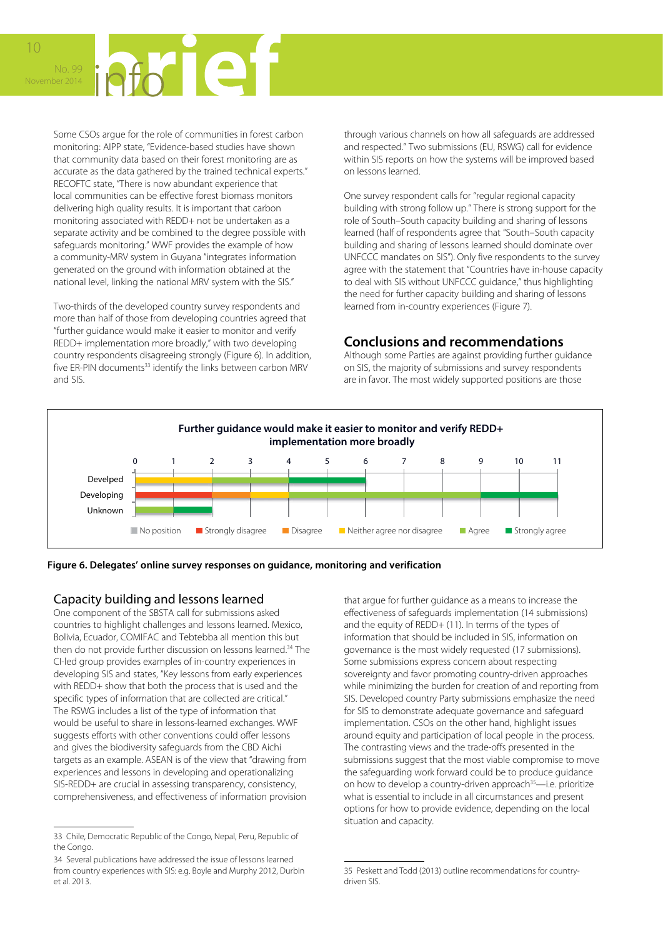

Some CSOs argue for the role of communities in forest carbon monitoring: AIPP state, "Evidence-based studies have shown that community data based on their forest monitoring are as accurate as the data gathered by the trained technical experts." RECOFTC state, "There is now abundant experience that local communities can be effective forest biomass monitors delivering high quality results. It is important that carbon monitoring associated with REDD+ not be undertaken as a separate activity and be combined to the degree possible with safeguards monitoring." WWF provides the example of how a community-MRV system in Guyana "integrates information generated on the ground with information obtained at the national level, linking the national MRV system with the SIS."

Two-thirds of the developed country survey respondents and more than half of those from developing countries agreed that "further guidance would make it easier to monitor and verify REDD+ implementation more broadly," with two developing country respondents disagreeing strongly (Figure 6). In addition, five ER-PIN documents<sup>33</sup> identify the links between carbon MRV and SIS.

through various channels on how all safeguards are addressed and respected." Two submissions (EU, RSWG) call for evidence within SIS reports on how the systems will be improved based on lessons learned.

One survey respondent calls for "regular regional capacity building with strong follow up." There is strong support for the role of South–South capacity building and sharing of lessons learned (half of respondents agree that "South–South capacity building and sharing of lessons learned should dominate over UNFCCC mandates on SIS"). Only five respondents to the survey agree with the statement that "Countries have in-house capacity to deal with SIS without UNFCCC guidance," thus highlighting the need for further capacity building and sharing of lessons learned from in-country experiences (Figure 7).

# **Conclusions and recommendations**

Although some Parties are against providing further guidance on SIS, the majority of submissions and survey respondents are in favor. The most widely supported positions are those





# Capacity building and lessons learned

One component of the SBSTA call for submissions asked countries to highlight challenges and lessons learned. Mexico, Bolivia, Ecuador, COMIFAC and Tebtebba all mention this but then do not provide further discussion on lessons learned.<sup>34</sup> The CI-led group provides examples of in-country experiences in developing SIS and states, "Key lessons from early experiences with REDD+ show that both the process that is used and the specific types of information that are collected are critical." The RSWG includes a list of the type of information that would be useful to share in lessons-learned exchanges. WWF suggests efforts with other conventions could offer lessons and gives the biodiversity safeguards from the CBD Aichi targets as an example. ASEAN is of the view that "drawing from experiences and lessons in developing and operationalizing SIS-REDD+ are crucial in assessing transparency, consistency, comprehensiveness, and effectiveness of information provision

that argue for further guidance as a means to increase the effectiveness of safeguards implementation (14 submissions) and the equity of REDD+ (11). In terms of the types of information that should be included in SIS, information on governance is the most widely requested (17 submissions). Some submissions express concern about respecting sovereignty and favor promoting country-driven approaches while minimizing the burden for creation of and reporting from SIS. Developed country Party submissions emphasize the need for SIS to demonstrate adequate governance and safeguard implementation. CSOs on the other hand, highlight issues around equity and participation of local people in the process. The contrasting views and the trade-offs presented in the submissions suggest that the most viable compromise to move the safeguarding work forward could be to produce guidance on how to develop a country-driven approach<sup>35</sup>—i.e. prioritize what is essential to include in all circumstances and present options for how to provide evidence, depending on the local situation and capacity.

<sup>33</sup> Chile, Democratic Republic of the Congo, Nepal, Peru, Republic of the Congo.

<sup>34</sup> Several publications have addressed the issue of lessons learned from country experiences with SIS: e.g. Boyle and Murphy 2012, Durbin et al. 2013.

<sup>35</sup> Peskett and Todd (2013) outline recommendations for countrydriven SIS.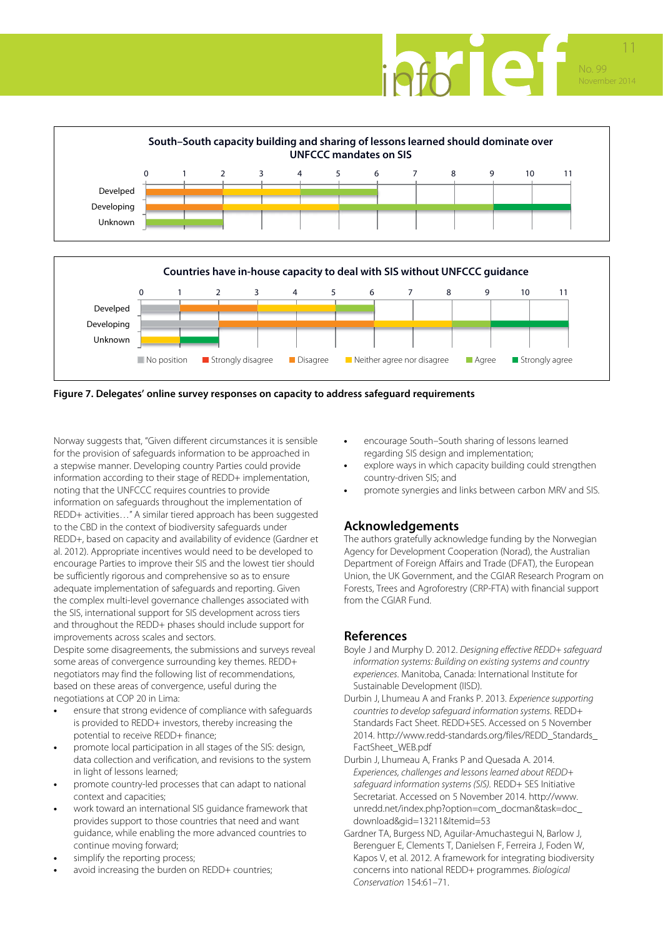





**Figure 7. Delegates' online survey responses on capacity to address safeguard requirements**

Norway suggests that, "Given different circumstances it is sensible for the provision of safeguards information to be approached in a stepwise manner. Developing country Parties could provide information according to their stage of REDD+ implementation, noting that the UNFCCC requires countries to provide information on safeguards throughout the implementation of REDD+ activities…" A similar tiered approach has been suggested to the CBD in the context of biodiversity safeguards under REDD+, based on capacity and availability of evidence (Gardner et al. 2012). Appropriate incentives would need to be developed to encourage Parties to improve their SIS and the lowest tier should be sufficiently rigorous and comprehensive so as to ensure adequate implementation of safeguards and reporting. Given the complex multi-level governance challenges associated with the SIS, international support for SIS development across tiers and throughout the REDD+ phases should include support for improvements across scales and sectors.

Despite some disagreements, the submissions and surveys reveal some areas of convergence surrounding key themes. REDD+ negotiators may find the following list of recommendations, based on these areas of convergence, useful during the negotiations at COP 20 in Lima:

- **•** ensure that strong evidence of compliance with safeguards is provided to REDD+ investors, thereby increasing the potential to receive REDD+ finance;
- **•** promote local participation in all stages of the SIS: design, data collection and verification, and revisions to the system in light of lessons learned;
- **•** promote country-led processes that can adapt to national context and capacities;
- **•** work toward an international SIS guidance framework that provides support to those countries that need and want guidance, while enabling the more advanced countries to continue moving forward;
- **•** simplify the reporting process;
- **•** avoid increasing the burden on REDD+ countries;
- **•** encourage South–South sharing of lessons learned regarding SIS design and implementation;
- **•** explore ways in which capacity building could strengthen country-driven SIS; and
- **•** promote synergies and links between carbon MRV and SIS.

# **Acknowledgements**

The authors gratefully acknowledge funding by the Norwegian Agency for Development Cooperation (Norad), the Australian Department of Foreign Affairs and Trade (DFAT), the European Union, the UK Government, and the CGIAR Research Program on Forests, Trees and Agroforestry (CRP-FTA) with financial support from the CGIAR Fund.

# **References**

- Boyle J and Murphy D. 2012. *Designing effective REDD+ safeguard information systems: Building on existing systems and country experiences*. Manitoba, Canada: International Institute for Sustainable Development (IISD).
- Durbin J, Lhumeau A and Franks P. 2013. *Experience supporting countries to develop safeguard information systems*. REDD+ Standards Fact Sheet. REDD+SES. Accessed on 5 November 2014. http://www.redd-standards.org/files/REDD\_Standards\_ FactSheet\_WEB.pdf
- Durbin J, Lhumeau A, Franks P and Quesada A. 2014. *Experiences, challenges and lessons learned about REDD+ safeguard information systems (SIS).* REDD+ SES Initiative Secretariat. Accessed on 5 November 2014. http://www. unredd.net/index.php?option=com\_docman&task=doc\_ download&gid=13211&Itemid=53
- Gardner TA, Burgess ND, Aguilar-Amuchastegui N, Barlow J, Berenguer E, Clements T, Danielsen F, Ferreira J, Foden W, Kapos V, et al. 2012. A framework for integrating biodiversity concerns into national REDD+ programmes. *Biological Conservation* 154:61–71.